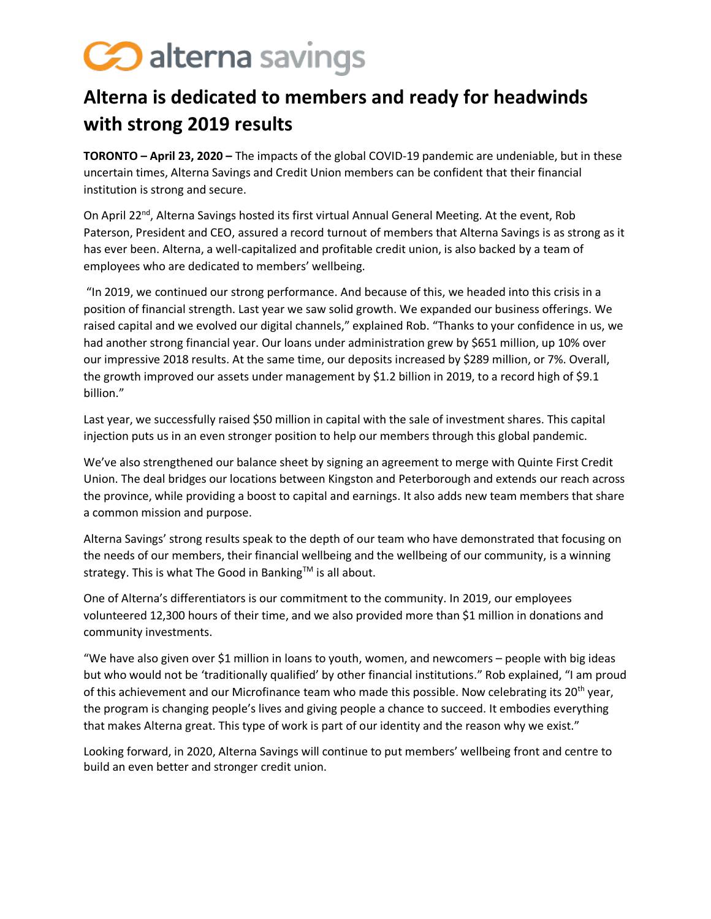## Co alterna savings

## **Alterna is dedicated to members and ready for headwinds with strong 2019 results**

**TORONTO – April 23, 2020 –** The impacts of the global COVID-19 pandemic are undeniable, but in these uncertain times, Alterna Savings and Credit Union members can be confident that their financial institution is strong and secure.

On April 22<sup>nd</sup>, Alterna Savings hosted its first virtual Annual General Meeting. At the event, Rob Paterson, President and CEO, assured a record turnout of members that Alterna Savings is as strong as it has ever been. Alterna, a well-capitalized and profitable credit union, is also backed by a team of employees who are dedicated to members' wellbeing.

"In 2019, we continued our strong performance. And because of this, we headed into this crisis in a position of financial strength. Last year we saw solid growth. We expanded our business offerings. We raised capital and we evolved our digital channels," explained Rob. "Thanks to your confidence in us, we had another strong financial year. Our loans under administration grew by \$651 million, up 10% over our impressive 2018 results. At the same time, our deposits increased by \$289 million, or 7%. Overall, the growth improved our assets under management by \$1.2 billion in 2019, to a record high of \$9.1 billion."

Last year, we successfully raised \$50 million in capital with the sale of investment shares. This capital injection puts us in an even stronger position to help our members through this global pandemic.

We've also strengthened our balance sheet by signing an agreement to merge with Quinte First Credit Union. The deal bridges our locations between Kingston and Peterborough and extends our reach across the province, while providing a boost to capital and earnings. It also adds new team members that share a common mission and purpose.

Alterna Savings' strong results speak to the depth of our team who have demonstrated that focusing on the needs of our members, their financial wellbeing and the wellbeing of our community, is a winning strategy. This is what The Good in Banking™ is all about.

One of Alterna's differentiators is our commitment to the community. In 2019, our employees volunteered 12,300 hours of their time, and we also provided more than \$1 million in donations and community investments.

"We have also given over \$1 million in loans to youth, women, and newcomers – people with big ideas but who would not be 'traditionally qualified' by other financial institutions." Rob explained, "I am proud of this achievement and our Microfinance team who made this possible. Now celebrating its  $20^{th}$  year, the program is changing people's lives and giving people a chance to succeed. It embodies everything that makes Alterna great. This type of work is part of our identity and the reason why we exist."

Looking forward, in 2020, Alterna Savings will continue to put members' wellbeing front and centre to build an even better and stronger credit union.